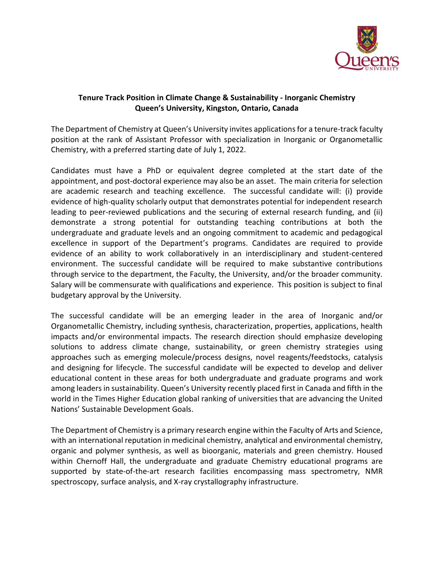

## **Tenure Track Position in Climate Change & Sustainability - Inorganic Chemistry Queen's University, Kingston, Ontario, Canada**

The Department of Chemistry at Queen's University invites applications for a tenure-track faculty position at the rank of Assistant Professor with specialization in Inorganic or Organometallic Chemistry, with a preferred starting date of July 1, 2022.

Candidates must have a PhD or equivalent degree completed at the start date of the appointment, and post-doctoral experience may also be an asset. The main criteria for selection are academic research and teaching excellence. The successful candidate will: (i) provide evidence of high-quality scholarly output that demonstrates potential for independent research leading to peer-reviewed publications and the securing of external research funding, and (ii) demonstrate a strong potential for outstanding teaching contributions at both the undergraduate and graduate levels and an ongoing commitment to academic and pedagogical excellence in support of the Department's programs. Candidates are required to provide evidence of an ability to work collaboratively in an interdisciplinary and student-centered environment. The successful candidate will be required to make substantive contributions through service to the department, the Faculty, the University, and/or the broader community. Salary will be commensurate with qualifications and experience. This position is subject to final budgetary approval by the University.

The successful candidate will be an emerging leader in the area of Inorganic and/or Organometallic Chemistry, including synthesis, characterization, properties, applications, health impacts and/or environmental impacts. The research direction should emphasize developing solutions to address climate change, sustainability, or green chemistry strategies using approaches such as emerging molecule/process designs, novel reagents/feedstocks, catalysis and designing for lifecycle. The successful candidate will be expected to develop and deliver educational content in these areas for both undergraduate and graduate programs and work among leaders in sustainability. Queen's University recently placed first in Canada and fifth in the world in the Times Higher Education global ranking of universities that are advancing the United Nations' Sustainable Development Goals.

The Department of Chemistry is a primary research engine within the Faculty of Arts and Science, with an international reputation in medicinal chemistry, analytical and environmental chemistry, organic and polymer synthesis, as well as bioorganic, materials and green chemistry. Housed within Chernoff Hall, the undergraduate and graduate Chemistry educational programs are supported by state-of-the-art research facilities encompassing mass spectrometry, NMR spectroscopy, surface analysis, and X-ray crystallography infrastructure.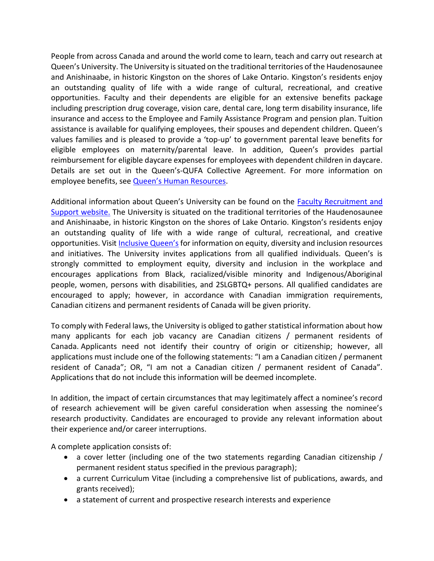People from across Canada and around the world come to learn, teach and carry out research at Queen's University. The University is situated on the traditional territories of the Haudenosaunee and Anishinaabe, in historic Kingston on the shores of Lake Ontario. Kingston's residents enjoy an outstanding quality of life with a wide range of cultural, recreational, and creative opportunities. Faculty and their dependents are eligible for an extensive benefits package including prescription drug coverage, vision care, dental care, long term disability insurance, life insurance and access to the Employee and Family Assistance Program and pension plan. Tuition assistance is available for qualifying employees, their spouses and dependent children. Queen's values families and is pleased to provide a 'top-up' to government parental leave benefits for eligible employees on maternity/parental leave. In addition, Queen's provides partial reimbursement for eligible daycare expenses for employees with dependent children in daycare. Details are set out in the Queen's-QUFA Collective Agreement. For more information on employee benefits, see [Queen's Human Resources](https://www.queensu.ca/humanresources/).

Additional information about Queen's University can be found on the [Faculty Recruitment and](https://www.queensu.ca/facultyrecruitment/)  [Support website.](https://www.queensu.ca/facultyrecruitment/) The University is situated on the traditional territories of the Haudenosaunee and Anishinaabe, in historic Kingston on the shores of Lake Ontario. Kingston's residents enjoy an outstanding quality of life with a wide range of cultural, recreational, and creative opportunities. Visit [Inclusive Queen's](https://www.queensu.ca/inclusive/) for information on equity, diversity and inclusion resources and initiatives. The University invites applications from all qualified individuals. Queen's is strongly committed to employment equity, diversity and inclusion in the workplace and encourages applications from Black, racialized/visible minority and Indigenous/Aboriginal people, women, persons with disabilities, and 2SLGBTQ+ persons. All qualified candidates are encouraged to apply; however, in accordance with Canadian immigration requirements, Canadian citizens and permanent residents of Canada will be given priority.

To comply with Federal laws, the University is obliged to gather statistical information about how many applicants for each job vacancy are Canadian citizens / permanent residents of Canada. Applicants need not identify their country of origin or citizenship; however, all applications must include one of the following statements: "I am a Canadian citizen / permanent resident of Canada"; OR, "I am not a Canadian citizen / permanent resident of Canada". Applications that do not include this information will be deemed incomplete.

In addition, the impact of certain circumstances that may legitimately affect a nominee's record of research achievement will be given careful consideration when assessing the nominee's research productivity. Candidates are encouraged to provide any relevant information about their experience and/or career interruptions.

A complete application consists of:

- a cover letter (including one of the two statements regarding Canadian citizenship / permanent resident status specified in the previous paragraph);
- a current Curriculum Vitae (including a comprehensive list of publications, awards, and grants received);
- a statement of current and prospective research interests and experience